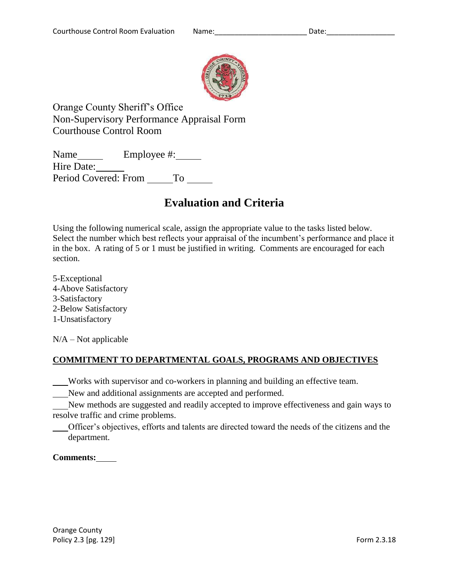

Orange County Sheriff's Office Non-Supervisory Performance Appraisal Form Courthouse Control Room

Name Employee #: Hire Date: Period Covered: From \_ To

# **Evaluation and Criteria**

Using the following numerical scale, assign the appropriate value to the tasks listed below. Select the number which best reflects your appraisal of the incumbent's performance and place it in the box. A rating of 5 or 1 must be justified in writing. Comments are encouraged for each section.

5-Exceptional 4-Above Satisfactory 3-Satisfactory 2-Below Satisfactory 1-Unsatisfactory

 $N/A - Not$  applicable

## **COMMITMENT TO DEPARTMENTAL GOALS, PROGRAMS AND OBJECTIVES**

Works with supervisor and co-workers in planning and building an effective team.

New and additional assignments are accepted and performed.

New methods are suggested and readily accepted to improve effectiveness and gain ways to resolve traffic and crime problems.

Officer's objectives, efforts and talents are directed toward the needs of the citizens and the department.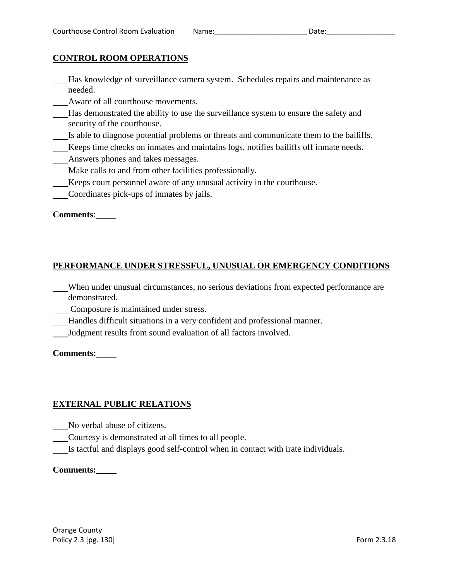### **CONTROL ROOM OPERATIONS**

- Has knowledge of surveillance camera system. Schedules repairs and maintenance as needed.
- Aware of all courthouse movements.
- Has demonstrated the ability to use the surveillance system to ensure the safety and security of the courthouse.
- Is able to diagnose potential problems or threats and communicate them to the bailiffs.
- Keeps time checks on inmates and maintains logs, notifies bailiffs off inmate needs.
- Answers phones and takes messages.
- Make calls to and from other facilities professionally.
- Keeps court personnel aware of any unusual activity in the courthouse.
- Coordinates pick-ups of inmates by jails.

### **Comments**:

### **PERFORMANCE UNDER STRESSFUL, UNUSUAL OR EMERGENCY CONDITIONS**

- When under unusual circumstances, no serious deviations from expected performance are demonstrated.
- Composure is maintained under stress.
- Handles difficult situations in a very confident and professional manner.
- Judgment results from sound evaluation of all factors involved.

### **Comments:**

### **EXTERNAL PUBLIC RELATIONS**

- No verbal abuse of citizens.
- Courtesy is demonstrated at all times to all people.
- Is tactful and displays good self-control when in contact with irate individuals.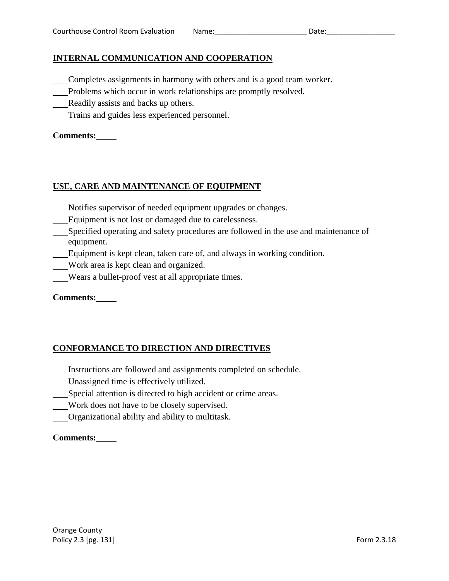### **INTERNAL COMMUNICATION AND COOPERATION**

- Completes assignments in harmony with others and is a good team worker.
- Problems which occur in work relationships are promptly resolved.
- Readily assists and backs up others.
- Trains and guides less experienced personnel.

### **Comments:**

### **USE, CARE AND MAINTENANCE OF EQUIPMENT**

- Notifies supervisor of needed equipment upgrades or changes.
- Equipment is not lost or damaged due to carelessness.
- Specified operating and safety procedures are followed in the use and maintenance of equipment.
- Equipment is kept clean, taken care of, and always in working condition.
- Work area is kept clean and organized.
- Wears a bullet-proof vest at all appropriate times.

### **Comments:**

## **CONFORMANCE TO DIRECTION AND DIRECTIVES**

- Instructions are followed and assignments completed on schedule.
- Unassigned time is effectively utilized.
- Special attention is directed to high accident or crime areas.
- Work does not have to be closely supervised.
- Organizational ability and ability to multitask.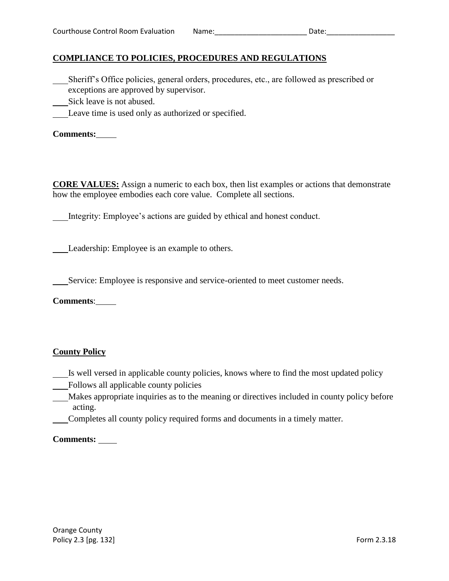## **COMPLIANCE TO POLICIES, PROCEDURES AND REGULATIONS**

- Sheriff's Office policies, general orders, procedures, etc., are followed as prescribed or exceptions are approved by supervisor.
- Sick leave is not abused.
- Leave time is used only as authorized or specified.

**Comments:**

**CORE VALUES:** Assign a numeric to each box, then list examples or actions that demonstrate how the employee embodies each core value. Complete all sections.

Integrity: Employee's actions are guided by ethical and honest conduct.

Leadership: Employee is an example to others.

Service: Employee is responsive and service-oriented to meet customer needs.

**Comments**:

### **County Policy**

- Is well versed in applicable county policies, knows where to find the most updated policy
- Follows all applicable county policies
- Makes appropriate inquiries as to the meaning or directives included in county policy before acting.
- Completes all county policy required forms and documents in a timely matter.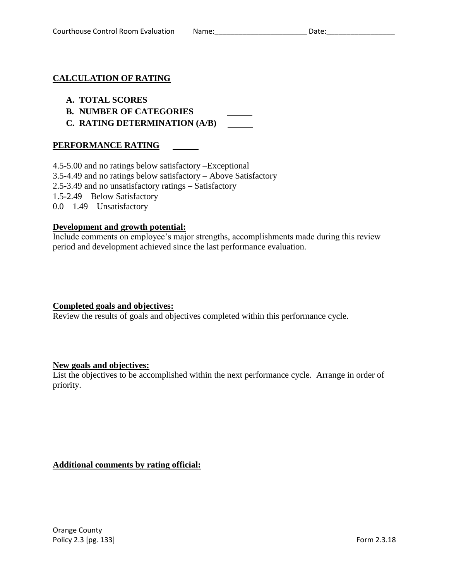### **CALCULATION OF RATING**

### **A. TOTAL SCORES**

- **B. NUMBER OF CATEGORIES**
- **C. RATING DETERMINATION (A/B)**

### **PERFORMANCE RATING**

4.5-5.00 and no ratings below satisfactory –Exceptional 3.5-4.49 and no ratings below satisfactory – Above Satisfactory 2.5-3.49 and no unsatisfactory ratings – Satisfactory 1.5-2.49 – Below Satisfactory  $0.0 - 1.49$  – Unsatisfactory

### **Development and growth potential:**

Include comments on employee's major strengths, accomplishments made during this review period and development achieved since the last performance evaluation.

### **Completed goals and objectives:**

Review the results of goals and objectives completed within this performance cycle.

#### **New goals and objectives:**

List the objectives to be accomplished within the next performance cycle. Arrange in order of priority.

**Additional comments by rating official:**